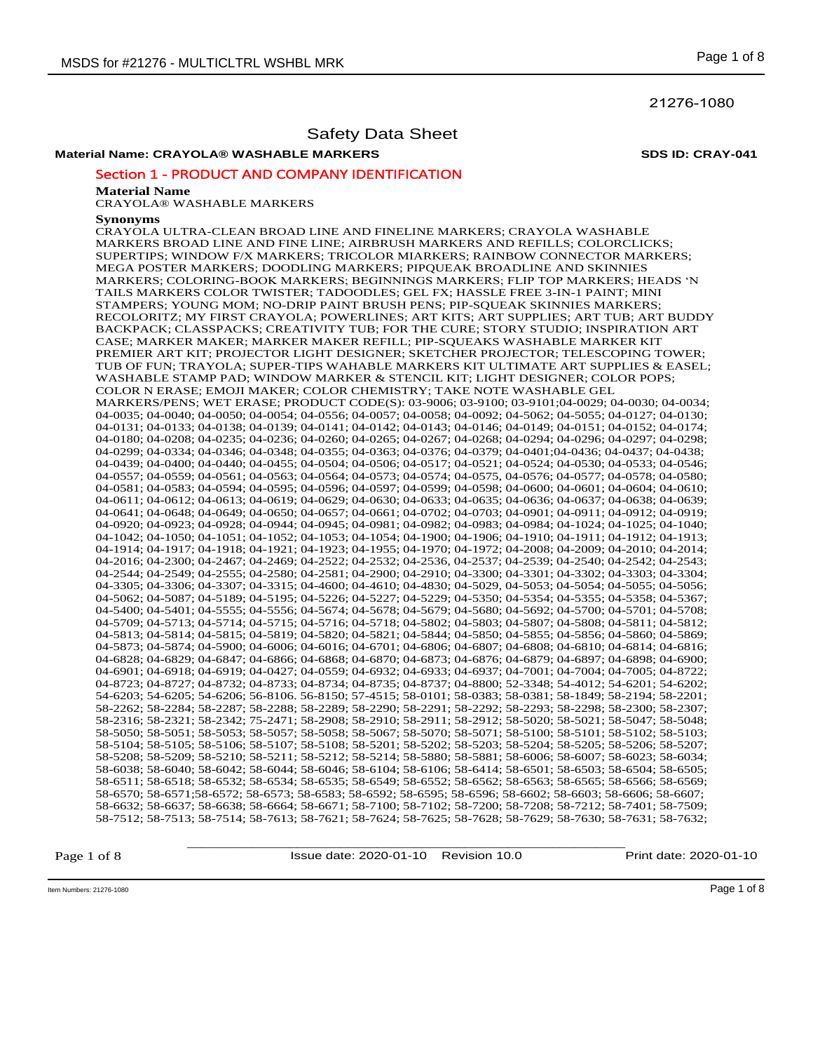21276-1080

# Safety Data Sheet

# **Material Name: CRAYOLA® WASHABLE MARKERS SDS ID: CRAY-041**

# Section 1 - PRODUCT AND COMPANY IDENTIFICATION

#### **Material Name**

CRAYOLA® WASHABLE MARKERS

#### **Synonyms**

CRAYOLA ULTRA-CLEAN BROAD LINE AND FINELINE MARKERS; CRAYOLA WASHABLE MARKERS BROAD LINE AND FINE LINE; AIRBRUSH MARKERS AND REFILLS; COLORCLICKS; SUPERTIPS; WINDOW F/X MARKERS; TRICOLOR MIARKERS; RAINBOW CONNECTOR MARKERS; MEGA POSTER MARKERS; DOODLING MARKERS; PIPQUEAK BROADLINE AND SKINNIES MARKERS; COLORING-BOOK MARKERS; BEGINNINGS MARKERS; FLIP TOP MARKERS; HEADS 'N TAILS MARKERS COLOR TWISTER; TADOODLES; GEL FX; HASSLE FREE 3-IN-1 PAINT; MINI STAMPERS; YOUNG MOM; NO-DRIP PAINT BRUSH PENS; PIP-SQUEAK SKINNIES MARKERS; RECOLORITZ; MY FIRST CRAYOLA; POWERLINES; ART KITS; ART SUPPLIES; ART TUB; ART BUDDY BACKPACK; CLASSPACKS; CREATIVITY TUB; FOR THE CURE; STORY STUDIO; INSPIRATION ART CASE; MARKER MAKER; MARKER MAKER REFILL; PIP-SQUEAKS WASHABLE MARKER KIT PREMIER ART KIT; PROJECTOR LIGHT DESIGNER; SKETCHER PROJECTOR; TELESCOPING TOWER; TUB OF FUN; TRAYOLA; SUPER-TIPS WAHABLE MARKERS KIT ULTIMATE ART SUPPLIES & EASEL; WASHABLE STAMP PAD; WINDOW MARKER & STENCIL KIT; LIGHT DESIGNER; COLOR POPS; COLOR N ERASE; EMOJI MAKER; COLOR CHEMISTRY; TAKE NOTE WASHABLE GEL MARKERS/PENS; WET ERASE; PRODUCT CODE(S): 03-9006; 03-9100; 03-9101;04-0029; 04-0030; 04-0034; 04-0035; 04-0040; 04-0050; 04-0054; 04-0556; 04-0057; 04-0058; 04-0092; 04-5062; 04-5055; 04-0127; 04-0130; 04-0131; 04-0133; 04-0138; 04-0139; 04-0141; 04-0142; 04-0143; 04-0146; 04-0149; 04-0151; 04-0152; 04-0174; 04-0180; 04-0208; 04-0235; 04-0236; 04-0260; 04-0265; 04-0267; 04-0268; 04-0294; 04-0296; 04-0297; 04-0298; 04-0299; 04-0334; 04-0346; 04-0348; 04-0355; 04-0363; 04-0376; 04-0379; 04-0401;04-0436; 04-0437; 04-0438; 04-0439; 04-0400; 04-0440; 04-0455; 04-0504; 04-0506; 04-0517; 04-0521; 04-0524; 04-0530; 04-0533; 04-0546; 04-0557; 04-0559; 04-0561; 04-0563; 04-0564; 04-0573; 04-0574; 04-0575, 04-0576; 04-0577; 04-0578; 04-0580; 04-0581; 04-0583; 04-0594; 04-0595; 04-0596; 04-0597; 04-0599; 04-0598; 04-0600; 04-0601; 04-0604; 04-0610; 04-0611; 04-0612; 04-0613; 04-0619; 04-0629; 04-0630; 04-0633; 04-0635; 04-0636; 04-0637; 04-0638; 04-0639; 04-0641; 04-0648; 04-0649; 04-0650; 04-0657; 04-0661; 04-0702; 04-0703; 04-0901; 04-0911; 04-0912; 04-0919; 04-0920; 04-0923; 04-0928; 04-0944; 04-0945; 04-0981; 04-0982; 04-0983; 04-0984; 04-1024; 04-1025; 04-1040; 04-1042; 04-1050; 04-1051; 04-1052; 04-1053; 04-1054; 04-1900; 04-1906; 04-1910; 04-1911; 04-1912; 04-1913; 04-1914; 04-1917; 04-1918; 04-1921; 04-1923; 04-1955; 04-1970; 04-1972; 04-2008; 04-2009; 04-2010; 04-2014; 04-2016; 04-2300; 04-2467; 04-2469; 04-2522; 04-2532; 04-2536, 04-2537; 04-2539; 04-2540; 04-2542; 04-2543; 04-2544; 04-2549; 04-2555; 04-2580; 04-2581; 04-2900; 04-2910; 04-3300; 04-3301; 04-3302; 04-3303; 04-3304; 04-3305; 04-3306; 04-3307; 04-3315; 04-4600; 04-4610; 04-4830; 04-5029, 04-5053; 04-5054; 04-5055; 04-5056; 04-5062; 04-5087; 04-5189; 04-5195; 04-5226; 04-5227; 04-5229; 04-5350; 04-5354; 04-5355; 04-5358; 04-5367; 04-5400; 04-5401; 04-5555; 04-5556; 04-5674; 04-5678; 04-5679; 04-5680; 04-5692; 04-5700; 04-5701; 04-5708; 04-5709; 04-5713; 04-5714; 04-5715; 04-5716; 04-5718; 04-5802; 04-5803; 04-5807; 04-5808; 04-5811; 04-5812; 04-5813; 04-5814; 04-5815; 04-5819; 04-5820; 04-5821; 04-5844; 04-5850; 04-5855; 04-5856; 04-5860; 04-5869; 04-5873; 04-5874; 04-5900; 04-6006; 04-6016; 04-6701; 04-6806; 04-6807; 04-6808; 04-6810; 04-6814; 04-6816; 04-6828; 04-6829; 04-6847; 04-6866; 04-6868; 04-6870; 04-6873; 04-6876; 04-6879; 04-6897; 04-6898; 04-6900; 04-6901; 04-6918; 04-6919; 04-0427; 04-0559; 04-6932; 04-6933; 04-6937; 04-7001; 04-7004; 04-7005; 04-8722; 04-8723; 04-8727; 04-8732; 04-8733; 04-8734; 04-8735; 04-8737; 04-8800; 52-3348; 54-4012; 54-6201; 54-6202; 54-6203; 54-6205; 54-6206; 56-8106. 56-8150; 57-4515; 58-0101; 58-0383; 58-0381; 58-1849; 58-2194; 58-2201; 58-2262; 58-2284; 58-2287; 58-2288; 58-2289; 58-2290; 58-2291; 58-2292; 58-2293; 58-2298; 58-2300; 58-2307; 58-2316; 58-2321; 58-2342; 75-2471; 58-2908; 58-2910; 58-2911; 58-2912; 58-5020; 58-5021; 58-5047; 58-5048; 58-5050; 58-5051; 58-5053; 58-5057; 58-5058; 58-5067; 58-5070; 58-5071; 58-5100; 58-5101; 58-5102; 58-5103; 58-5104; 58-5105; 58-5106; 58-5107; 58-5108; 58-5201; 58-5202; 58-5203; 58-5204; 58-5205; 58-5206; 58-5207; 58-5208; 58-5209; 58-5210; 58-5211; 58-5212; 58-5214; 58-5880; 58-5881; 58-6006; 58-6007; 58-6023; 58-6034; 58-6038; 58-6040; 58-6042; 58-6044; 58-6046; 58-6104; 58-6106; 58-6414; 58-6501; 58-6503; 58-6504; 58-6505; 58-6511; 58-6518; 58-6532; 58-6534; 58-6535; 58-6549; 58-6552; 58-6562; 58-6563; 58-6565; 58-6566; 58-6569; 58-6570; 58-6571;58-6572; 58-6573; 58-6583; 58-6592; 58-6595; 58-6596; 58-6602; 58-6603; 58-6606; 58-6607; 58-6632; 58-6637; 58-6638; 58-6664; 58-6671; 58-7100; 58-7102; 58-7200; 58-7208; 58-7212; 58-7401; 58-7509; 58-7512; 58-7513; 58-7514; 58-7613; 58-7621; 58-7624; 58-7625; 58-7628; 58-7629; 58-7630; 58-7631; 58-7632;

Page 1 of 8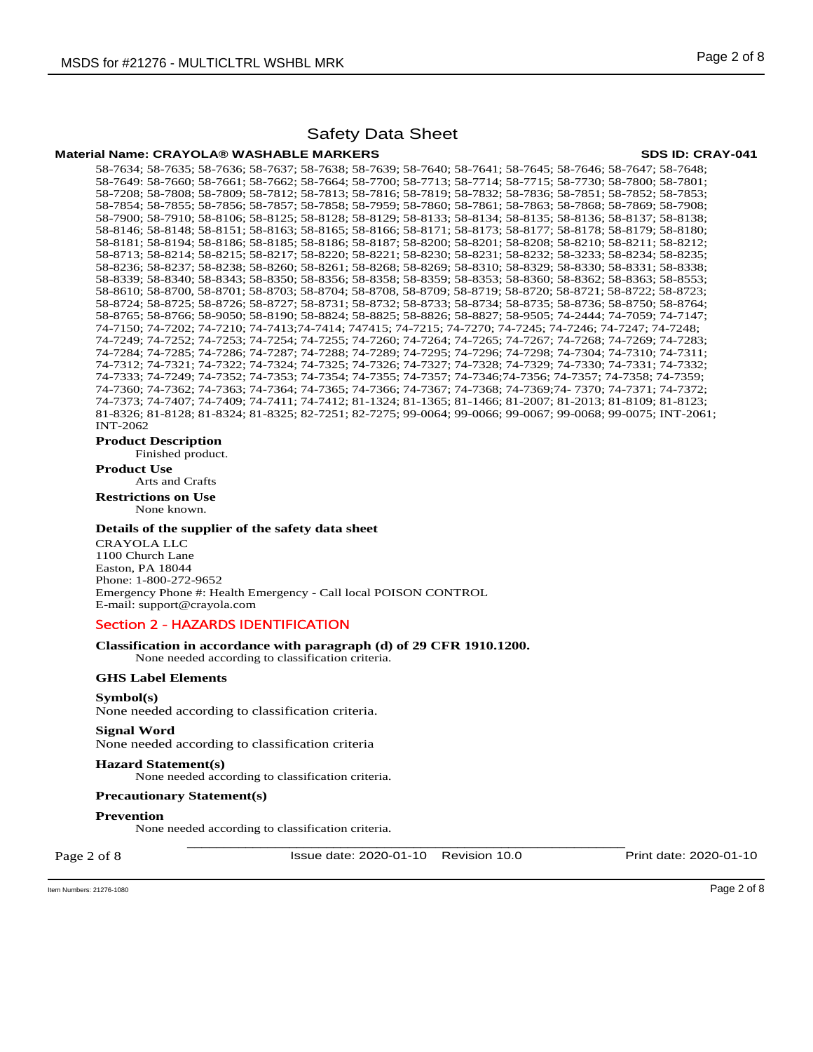#### **Material Name: CRAYOLA® WASHABLE MARKERS SDS ID: CRAY-041**

58-7634; 58-7635; 58-7636; 58-7637; 58-7638; 58-7639; 58-7640; 58-7641; 58-7645; 58-7646; 58-7647; 58-7648; 58-7649: 58-7660; 58-7661; 58-7662; 58-7664; 58-7700; 58-7713; 58-7714; 58-7715; 58-7730; 58-7800; 58-7801; 58-7208; 58-7808; 58-7809; 58-7812; 58-7813; 58-7816; 58-7819; 58-7832; 58-7836; 58-7851; 58-7852; 58-7853; 58-7854; 58-7855; 58-7856; 58-7857; 58-7858; 58-7959; 58-7860; 58-7861; 58-7863; 58-7868; 58-7869; 58-7908; 58-7900; 58-7910; 58-8106; 58-8125; 58-8128; 58-8129; 58-8133; 58-8134; 58-8135; 58-8136; 58-8137; 58-8138; 58-8146; 58-8148; 58-8151; 58-8163; 58-8165; 58-8166; 58-8171; 58-8173; 58-8177; 58-8178; 58-8179; 58-8180; 58-8181; 58-8194; 58-8186; 58-8185; 58-8186; 58-8187; 58-8200; 58-8201; 58-8208; 58-8210; 58-8211; 58-8212; 58-8713; 58-8214; 58-8215; 58-8217; 58-8220; 58-8221; 58-8230; 58-8231; 58-8232; 58-3233; 58-8234; 58-8235; 58-8236; 58-8237; 58-8238; 58-8260; 58-8261; 58-8268; 58-8269; 58-8310; 58-8329; 58-8330; 58-8331; 58-8338; 58-8339; 58-8340; 58-8343; 58-8350; 58-8356; 58-8358; 58-8359; 58-8353; 58-8360; 58-8362; 58-8363; 58-8553; 58-8610; 58-8700, 58-8701; 58-8703; 58-8704; 58-8708, 58-8709; 58-8719; 58-8720; 58-8721; 58-8722; 58-8723; 58-8724; 58-8725; 58-8726; 58-8727; 58-8731; 58-8732; 58-8733; 58-8734; 58-8735; 58-8736; 58-8750; 58-8764; 58-8765; 58-8766; 58-9050; 58-8190; 58-8824; 58-8825; 58-8826; 58-8827; 58-9505; 74-2444; 74-7059; 74-7147; 74-7150; 74-7202; 74-7210; 74-7413;74-7414; 747415; 74-7215; 74-7270; 74-7245; 74-7246; 74-7247; 74-7248; 74-7249; 74-7252; 74-7253; 74-7254; 74-7255; 74-7260; 74-7264; 74-7265; 74-7267; 74-7268; 74-7269; 74-7283; 74-7284; 74-7285; 74-7286; 74-7287; 74-7288; 74-7289; 74-7295; 74-7296; 74-7298; 74-7304; 74-7310; 74-7311; 74-7312; 74-7321; 74-7322; 74-7324; 74-7325; 74-7326; 74-7327; 74-7328; 74-7329; 74-7330; 74-7331; 74-7332; 74-7333; 74-7249; 74-7352; 74-7353; 74-7354; 74-7355; 74-7357; 74-7346;74-7356; 74-7357; 74-7358; 74-7359; 74-7360; 74-7362; 74-7363; 74-7364; 74-7365; 74-7366; 74-7367; 74-7368; 74-7369;74- 7370; 74-7371; 74-7372; 74-7373; 74-7407; 74-7409; 74-7411; 74-7412; 81-1324; 81-1365; 81-1466; 81-2007; 81-2013; 81-8109; 81-8123; 81-8326; 81-8128; 81-8324; 81-8325; 82-7251; 82-7275; 99-0064; 99-0066; 99-0067; 99-0068; 99-0075; INT-2061; INT-2062

**Product Description** 

Finished product.

**Product Use** Arts and Crafts

**Restrictions on Use**

None known.

### **Details of the supplier of the safety data sheet**

CRAYOLA LLC 1100 Church Lane Easton, PA 18044 Phone: 1-800-272-9652 Emergency Phone #: Health Emergency - Call local POISON CONTROL E-mail: support@crayola.com

# Section 2 - HAZARDS IDENTIFICATION

### **Classification in accordance with paragraph (d) of 29 CFR 1910.1200.**

None needed according to classification criteria.

# **GHS Label Elements**

**Symbol(s)**  None needed according to classification criteria.

#### **Signal Word**

None needed according to classification criteria

### **Hazard Statement(s)**

None needed according to classification criteria.

### **Precautionary Statement(s)**

**Prevention** 

None needed according to classification criteria.

Page 2 of 8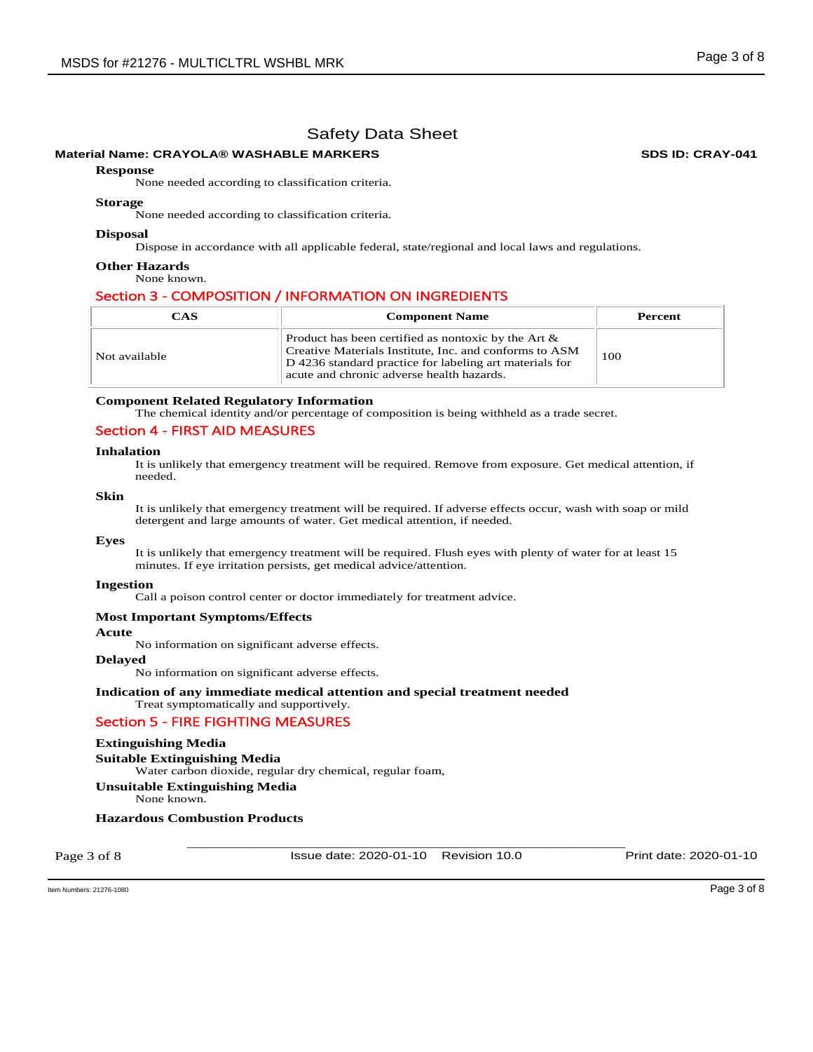# **Material Name: CRAYOLA® WASHABLE MARKERS SDS ID: CRAY-041**

#### **Response**

None needed according to classification criteria.

#### **Storage**

None needed according to classification criteria.

### **Disposal**

Dispose in accordance with all applicable federal, state/regional and local laws and regulations.

#### **Other Hazards**

None known.

# Section 3 - COMPOSITION / INFORMATION ON INGREDIENTS

| <b>CAS</b>    | <b>Component Name</b>                                                                                                                                                                                                    | Percent |
|---------------|--------------------------------------------------------------------------------------------------------------------------------------------------------------------------------------------------------------------------|---------|
| Not available | Product has been certified as nontoxic by the Art $\&$<br>Creative Materials Institute, Inc. and conforms to ASM<br>D 4236 standard practice for labeling art materials for<br>acute and chronic adverse health hazards. | 100     |

### **Component Related Regulatory Information**

The chemical identity and/or percentage of composition is being withheld as a trade secret.

### Section 4 - FIRST AID MEASURES

#### **Inhalation**

It is unlikely that emergency treatment will be required. Remove from exposure. Get medical attention, if needed.

### **Skin**

It is unlikely that emergency treatment will be required. If adverse effects occur, wash with soap or mild detergent and large amounts of water. Get medical attention, if needed.

#### **Eyes**

It is unlikely that emergency treatment will be required. Flush eyes with plenty of water for at least 15 minutes. If eye irritation persists, get medical advice/attention.

#### **Ingestion**

Call a poison control center or doctor immediately for treatment advice.

#### **Most Important Symptoms/Effects**

#### **Acute**

No information on significant adverse effects.

#### **Delayed**

No information on significant adverse effects.

#### **Indication of any immediate medical attention and special treatment needed**  Treat symptomatically and supportively.

# Section 5 - FIRE FIGHTING MEASURES

# **Extinguishing Media**

**Suitable Extinguishing Media**  Water carbon dioxide, regular dry chemical, regular foam, **Unsuitable Extinguishing Media**

None known.

# **Hazardous Combustion Products**

Page 3 of 8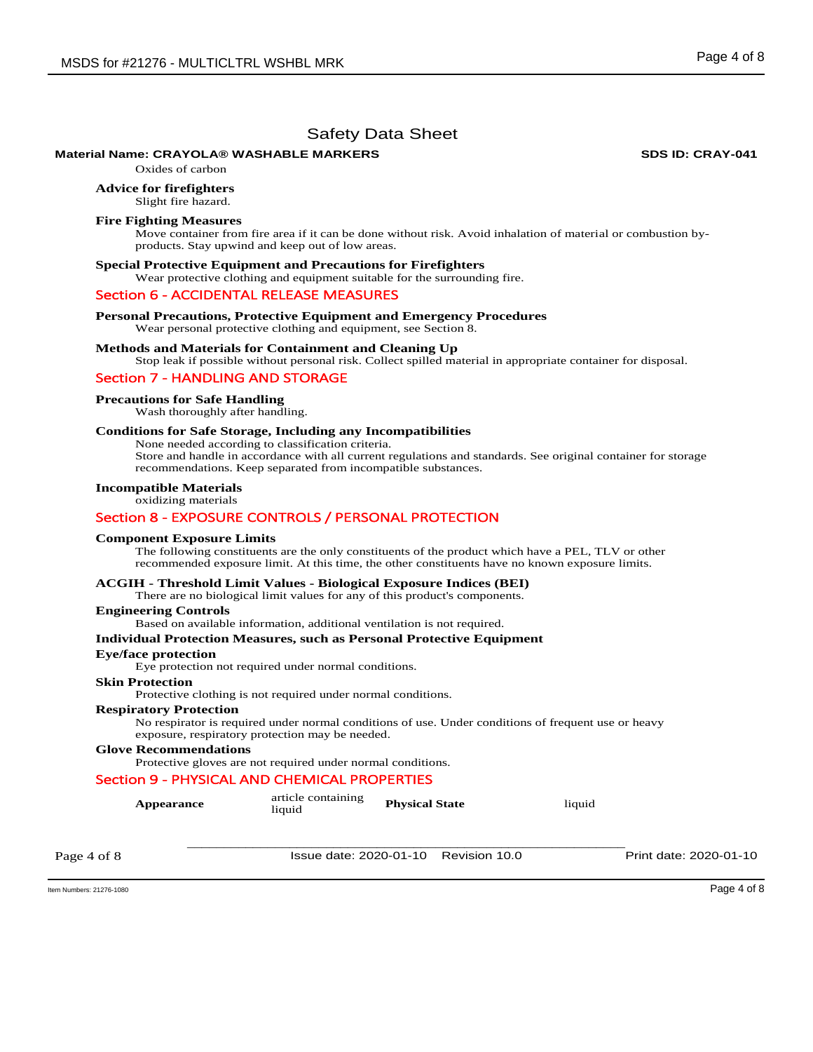# **Material Name: CRAYOLA® WASHABLE MARKERS 
WASHABLE MARKERS**

Oxides of carbon

**Advice for firefighters** 

Slight fire hazard.

#### **Fire Fighting Measures**

Move container from fire area if it can be done without risk. Avoid inhalation of material or combustion byproducts. Stay upwind and keep out of low areas.

#### **Special Protective Equipment and Precautions for Firefighters**

Wear protective clothing and equipment suitable for the surrounding fire.

### Section 6 - ACCIDENTAL RELEASE MEASURES

**Personal Precautions, Protective Equipment and Emergency Procedures** 

Wear personal protective clothing and equipment, see Section 8.

#### **Methods and Materials for Containment and Cleaning Up**

Stop leak if possible without personal risk. Collect spilled material in appropriate container for disposal.

### Section 7 - HANDLING AND STORAGE

#### **Precautions for Safe Handling**

Wash thoroughly after handling.

### **Conditions for Safe Storage, Including any Incompatibilities**

None needed according to classification criteria. Store and handle in accordance with all current regulations and standards. See original container for storage

recommendations. Keep separated from incompatible substances.

# **Incompatible Materials**

oxidizing materials

# Section 8 - EXPOSURE CONTROLS / PERSONAL PROTECTION

#### **Component Exposure Limits**

The following constituents are the only constituents of the product which have a PEL, TLV or other recommended exposure limit. At this time, the other constituents have no known exposure limits.

# **ACGIH - Threshold Limit Values - Biological Exposure Indices (BEI)**

There are no biological limit values for any of this product's components.

#### **Engineering Controls**

Based on available information, additional ventilation is not required.

#### **Individual Protection Measures, such as Personal Protective Equipment**

#### **Eye/face protection**

Eye protection not required under normal conditions.

#### **Skin Protection**

Protective clothing is not required under normal conditions.

#### **Respiratory Protection**

No respirator is required under normal conditions of use. Under conditions of frequent use or heavy exposure, respiratory protection may be needed.

### **Glove Recommendations**

Protective gloves are not required under normal conditions.

### Section 9 - PHYSICAL AND CHEMICAL PROPERTIES

| <b>Appearance</b> | article containing<br>liquid | <b>Physical State</b>                | liquid |                        |
|-------------------|------------------------------|--------------------------------------|--------|------------------------|
| Page 4 of 8       |                              | Issue date: 2020-01-10 Revision 10.0 |        | Print date: 2020-01-10 |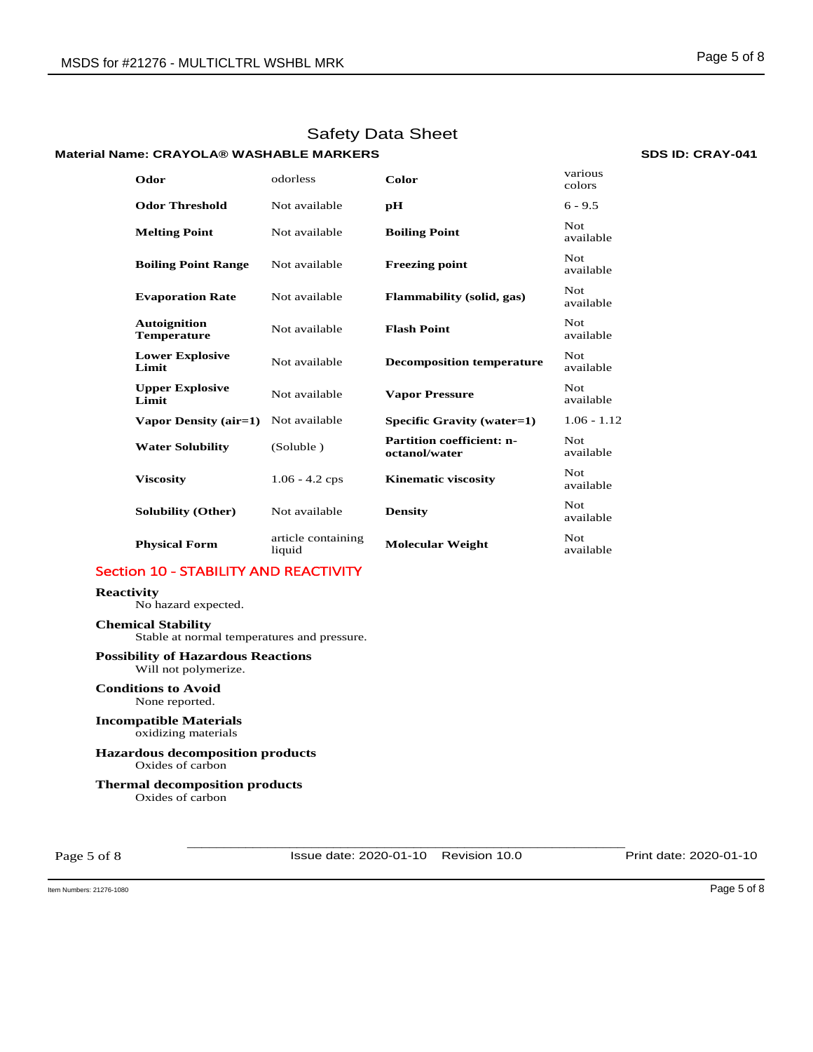# **Material Name: CRAYOLA® WASHABLE MARKERS 
WASHABLE MARKERS**

### **Odor** odorless **Color** various colors **Odor Threshold Not available pH** 6 - 9.5 **Melting Point Not available <b>Boiling Point Not Not** available **Boiling Point Range** Not available **Freezing point** Not available **Evaporation Rate Not available Flammability (solid, gas)** Not **Not** available **Autoignition Temperature** Not available **Flash Point** Not available **Lower Explosive**  Not available **Decomposition temperature Not** available **Upper Explosive Lipper Explosive Not available <b>Vapor Pressure Not available Vapor Pressure A** avail available **Vapor Density (air=1)** Not available **Specific Gravity (water=1)** 1.06 - 1.12 **Water Solubility** (Soluble ) **Partition coefficient: noctanol/water**  Not available **Viscosity 1.06 - 4.2 cps Kinematic viscosity Not** available **Solubility (Other)** Not available **Density** Not available **Physical Form** article containing<br>liquid **Molecular Weight Not** available

# Section 10 - STABILITY AND REACTIVITY

#### **Reactivity**

No hazard expected.

**Chemical Stability** Stable at normal temperatures and pressure.

#### **Possibility of Hazardous Reactions** Will not polymerize.

**Conditions to Avoid** None reported.

### **Incompatible Materials** oxidizing materials

**Hazardous decomposition products**  Oxides of carbon

**Thermal decomposition products**  Oxides of carbon

Page 5 of 8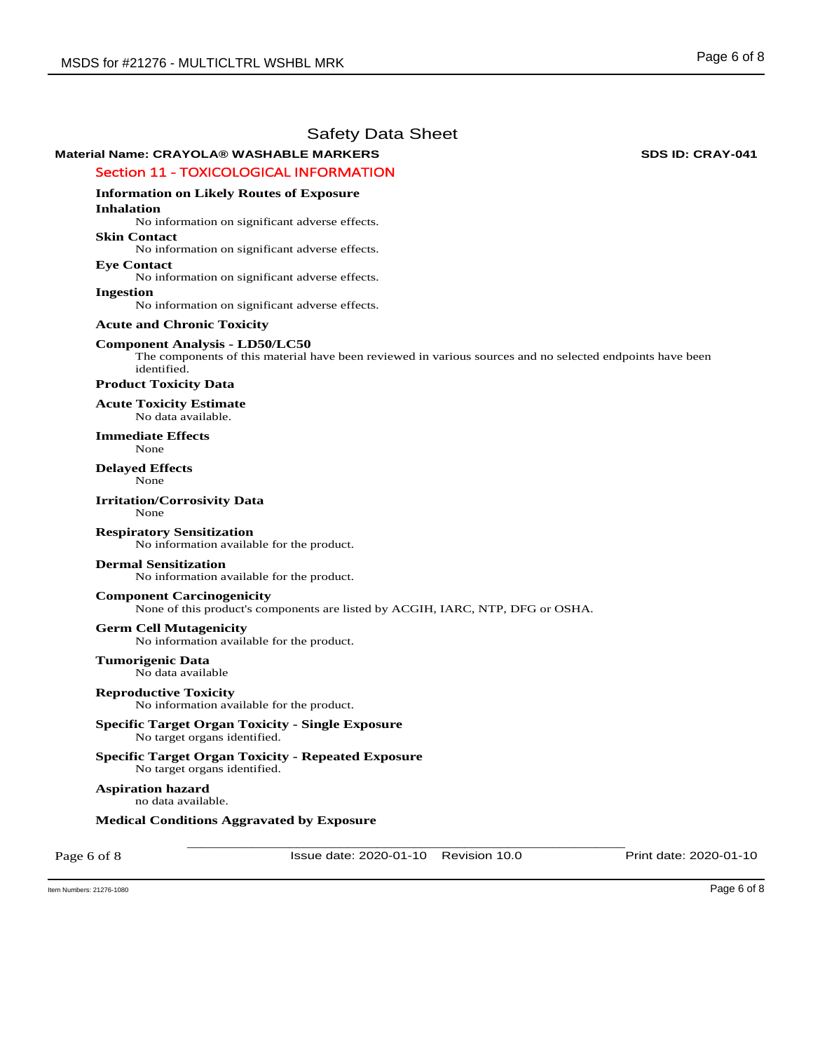# **Material Name: CRAYOLA® WASHABLE MARKERS 
WASHABLE MARKERS**

# Section 11 - TOXICOLOGICAL INFORMATION

# **Information on Likely Routes of Exposure**

**Inhalation** 

No information on significant adverse effects.

### **Skin Contact**

No information on significant adverse effects.

### **Eye Contact**

No information on significant adverse effects.

### **Ingestion**

No information on significant adverse effects.

### **Acute and Chronic Toxicity**

# **Component Analysis - LD50/LC50**

The components of this material have been reviewed in various sources and no selected endpoints have been identified.

### **Product Toxicity Data**

**Acute Toxicity Estimate**  No data available.

#### **Immediate Effects**  None

**Delayed Effects**  None

#### **Irritation/Corrosivity Data**  None

**Respiratory Sensitization**  No information available for the product.

# **Dermal Sensitization**

No information available for the product.

# **Component Carcinogenicity**

None of this product's components are listed by ACGIH, IARC, NTP, DFG or OSHA.

# **Germ Cell Mutagenicity**

No information available for the product.

# **Tumorigenic Data**

No data available

**Reproductive Toxicity**  No information available for the product.

# **Specific Target Organ Toxicity - Single Exposure**  No target organs identified.

**Specific Target Organ Toxicity - Repeated Exposure**  No target organs identified.

# **Aspiration hazard**

no data available.

# **Medical Conditions Aggravated by Exposure**

Page 6 of 8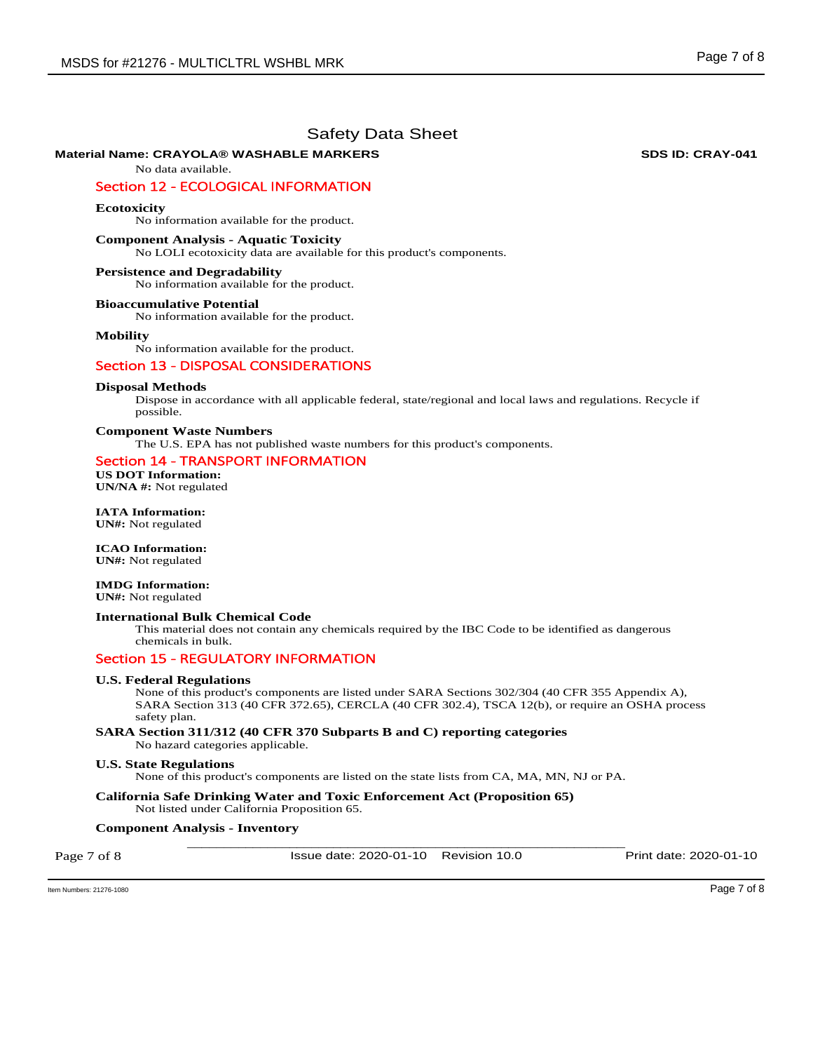# **Material Name: CRAYOLA® WASHABLE MARKERS 
WASHABLE MARKERS**

No data available.

# Section 12 - ECOLOGICAL INFORMATION

**Ecotoxicity** 

No information available for the product.

#### **Component Analysis - Aquatic Toxicity**

No LOLI ecotoxicity data are available for this product's components.

#### **Persistence and Degradability**

No information available for the product.

### **Bioaccumulative Potential**

No information available for the product.

#### **Mobility**

No information available for the product.

# Section 13 - DISPOSAL CONSIDERATIONS

#### **Disposal Methods**

Dispose in accordance with all applicable federal, state/regional and local laws and regulations. Recycle if possible.

#### **Component Waste Numbers**

The U.S. EPA has not published waste numbers for this product's components.

# Section 14 - TRANSPORT INFORMATION

**US DOT Information: UN/NA #:** Not regulated

**IATA Information: UN#:** Not regulated

#### **ICAO Information: UN#:** Not regulated

# **IMDG Information:**

**UN#:** Not regulated

# **International Bulk Chemical Code**

This material does not contain any chemicals required by the IBC Code to be identified as dangerous chemicals in bulk.

### Section 15 - REGULATORY INFORMATION

#### **U.S. Federal Regulations**

None of this product's components are listed under SARA Sections 302/304 (40 CFR 355 Appendix A), SARA Section 313 (40 CFR 372.65), CERCLA (40 CFR 302.4), TSCA 12(b), or require an OSHA process safety plan.

#### **SARA Section 311/312 (40 CFR 370 Subparts B and C) reporting categories**  No hazard categories applicable.

#### **U.S. State Regulations**

None of this product's components are listed on the state lists from CA, MA, MN, NJ or PA.

**California Safe Drinking Water and Toxic Enforcement Act (Proposition 65)**  Not listed under California Proposition 65.

### \_\_\_\_\_\_\_\_\_\_\_\_\_\_\_\_\_\_\_\_\_\_\_\_\_\_\_\_\_\_\_\_\_\_\_\_\_\_\_\_\_\_\_\_\_\_\_\_\_\_\_\_\_\_\_\_\_\_\_\_ **Component Analysis - Inventory**

Page 7 of 8

Issue date: 2020-01-10 Revision 10.0 Print date: 2020-01-10